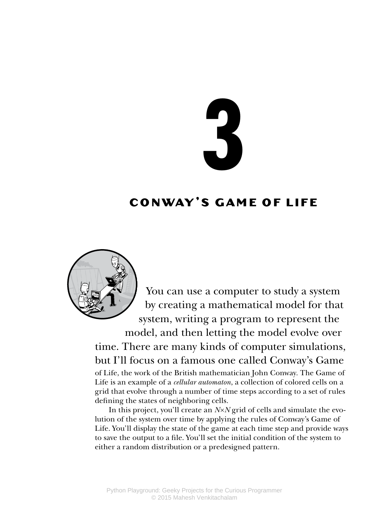# **3**

# **Conway's G a me of L i f e**



You can use a computer to study a system by creating a mathematical model for that system, writing a program to represent the

model, and then letting the model evolve over time. There are many kinds of computer simulations, but I'll focus on a famous one called Conway's Game

of Life, the work of the British mathematician John Conway. The Game of Life is an example of a *cellular automaton*, a collection of colored cells on a grid that evolve through a number of time steps according to a set of rules defining the states of neighboring cells.

In this project, you'll create an *N*×*N* grid of cells and simulate the evolution of the system over time by applying the rules of Conway's Game of Life. You'll display the state of the game at each time step and provide ways to save the output to a file. You'll set the initial condition of the system to either a random distribution or a predesigned pattern.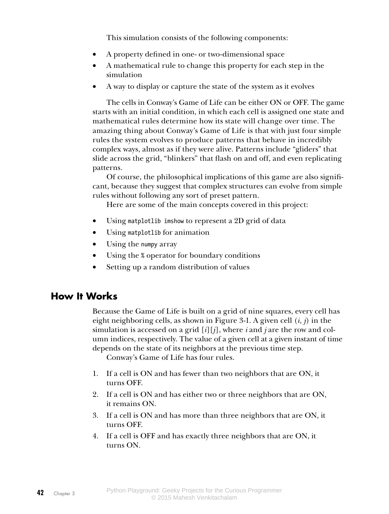This simulation consists of the following components:

- A property defined in one- or two-dimensional space
- A mathematical rule to change this property for each step in the simulation
- A way to display or capture the state of the system as it evolves

The cells in Conway's Game of Life can be either ON or OFF. The game starts with an initial condition, in which each cell is assigned one state and mathematical rules determine how its state will change over time. The amazing thing about Conway's Game of Life is that with just four simple rules the system evolves to produce patterns that behave in incredibly complex ways, almost as if they were alive. Patterns include "gliders" that slide across the grid, "blinkers" that flash on and off, and even replicating patterns.

Of course, the philosophical implications of this game are also significant, because they suggest that complex structures can evolve from simple rules without following any sort of preset pattern.

Here are some of the main concepts covered in this project:

- Using matplotlib imshow to represent a 2D grid of data
- Using matplotlib for animation
- Using the numpy array
- Using the % operator for boundary conditions
- Setting up a random distribution of values

#### **How It Works**

Because the Game of Life is built on a grid of nine squares, every cell has eight neighboring cells, as shown in Figure 3-1. A given cell (*i*, *j*) in the simulation is accessed on a grid [*i*][*j*], where *i* and *j* are the row and column indices, respectively. The value of a given cell at a given instant of time depends on the state of its neighbors at the previous time step.

Conway's Game of Life has four rules.

- 1. If a cell is ON and has fewer than two neighbors that are ON, it turns OFF.
- 2. If a cell is ON and has either two or three neighbors that are ON, it remains ON.
- 3. If a cell is ON and has more than three neighbors that are ON, it turns OFF.
- 4. If a cell is OFF and has exactly three neighbors that are ON, it turns ON.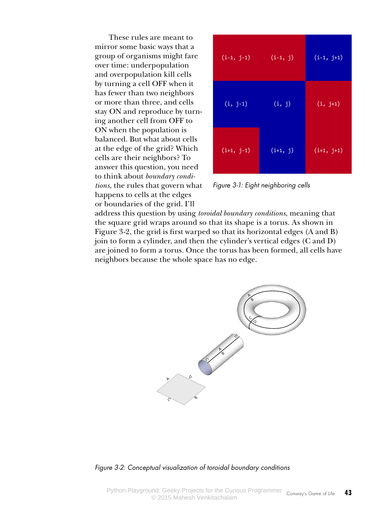These rules are meant to mirror some basic ways that a group of organisms might fare over time: underpopulation and overpopulation kill cells by turning a cell OFF when it has fewer than two neighbors or more than three, and cells stay ON and reproduce by turning another cell from OFF to ON when the population is balanced. But what about cells at the edge of the grid? Which cells are their neighbors? To answer this question, you need to think about *boundary conditions*, the rules that govern what happens to cells at the edges or boundaries of the grid. I'll

| $(i-1, j-1)$ | $(i-1, j)$ | $(i-1, j+1)$ |
|--------------|------------|--------------|
| $(i, j-1)$   | (i, j)     | $(i, j+1)$   |
| $(i+1, j-1)$ | $(i+1, j)$ | $(i+1, j+1)$ |

*Figure 3-1: Eight neighboring cells*

address this question by using *toroidal boundary conditions*, meaning that the square grid wraps around so that its shape is a torus. As shown in Figure 3-2, the grid is first warped so that its horizontal edges (A and B) join to form a cylinder, and then the cylinder's vertical edges (C and D) are joined to form a torus. Once the torus has been formed, all cells have neighbors because the whole space has no edge.



*Figure 3-2: Conceptual visualization of toroidal boundary conditions*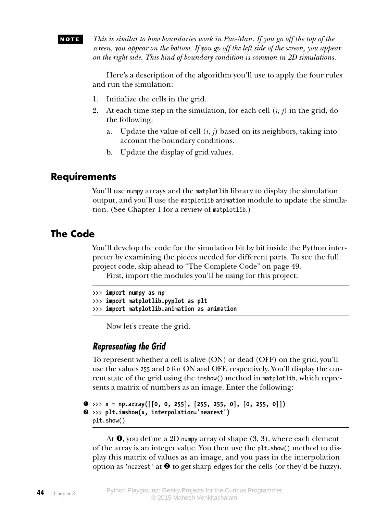**NOTE** *This is similar to how boundaries work in Pac-Man. If you go off the top of the screen, you appear on the bottom. If you go off the left side of the screen, you appear on the right side. This kind of boundary condition is common in 2D simulations.* 

> Here's a description of the algorithm you'll use to apply the four rules and run the simulation:

- 1. Initialize the cells in the grid.
- 2. At each time step in the simulation, for each cell  $(i, j)$  in the grid, do the following:
	- a. Update the value of cell (*i*, *j*) based on its neighbors, taking into account the boundary conditions.
	- b. Update the display of grid values.

#### **Requirements**

You'll use numpy arrays and the matplotlib library to display the simulation output, and you'll use the matplotlib animation module to update the simulation. (See Chapter 1 for a review of matplotlib.)

#### **The Code**

You'll develop the code for the simulation bit by bit inside the Python interpreter by examining the pieces needed for different parts. To see the full project code, skip ahead to "The Complete Code" on page 49.

First, import the modules you'll be using for this project:

```
>>> import numpy as np
>>> import matplotlib.pyplot as plt 
>>> import matplotlib.animation as animation
```
Now let's create the grid.

#### *Representing the Grid*

To represent whether a cell is alive (ON) or dead (OFF) on the grid, you'll use the values 255 and 0 for ON and OFF, respectively. You'll display the current state of the grid using the imshow() method in matplotlib, which represents a matrix of numbers as an image. Enter the following:

```
u >>> x = np.array([[0, 0, 255], [255, 255, 0], [0, 255, 0]])
v >>> plt.imshow(x, interpolation='nearest')
  plt.show()
```
At  $\bullet$ , you define a 2D numpy array of shape  $(3, 3)$ , where each element of the array is an integer value. You then use the plt.show() method to display this matrix of values as an image, and you pass in the interpolation option as 'nearest' at  $\bullet$  to get sharp edges for the cells (or they'd be fuzzy).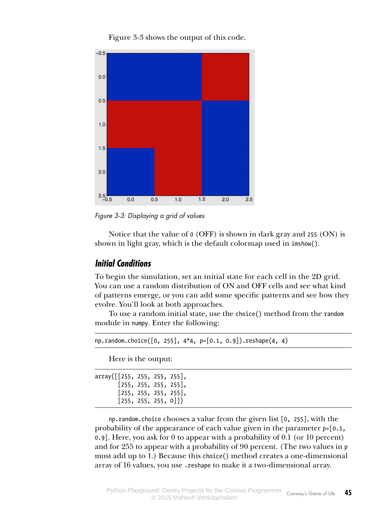

Figure 3-3 shows the output of this code.

*Figure 3-3: Displaying a grid of values*

Notice that the value of 0 (OFF) is shown in dark gray and 255 (ON) is shown in light gray, which is the default colormap used in imshow().

#### *Initial Conditions*

To begin the simulation, set an initial state for each cell in the 2D grid. You can use a random distribution of ON and OFF cells and see what kind of patterns emerge, or you can add some specific patterns and see how they evolve. You'll look at both approaches.

To use a random initial state, use the choice() method from the random module in numpy. Enter the following:

```
np.random.choice([0, 255], 4*4, p=[0.1, 0.9]).reshape(4, 4)
```
Here is the output:

| array([[255, 255, 255, 255],                       |  |  |
|----------------------------------------------------|--|--|
| $\begin{bmatrix} 255, 255, 255, 255 \end{bmatrix}$ |  |  |
| [255, 255, 255, 255],                              |  |  |
| [255, 255, 255, 0]                                 |  |  |

np.random.choice chooses a value from the given list [0, 255], with the probability of the appearance of each value given in the parameter p=[0.1, 0.9]. Here, you ask for 0 to appear with a probability of 0.1 (or 10 percent) and for 255 to appear with a probability of 90 percent. (The two values in p must add up to 1.) Because this choice() method creates a one-dimensional array of 16 values, you use .reshape to make it a two-dimensional array.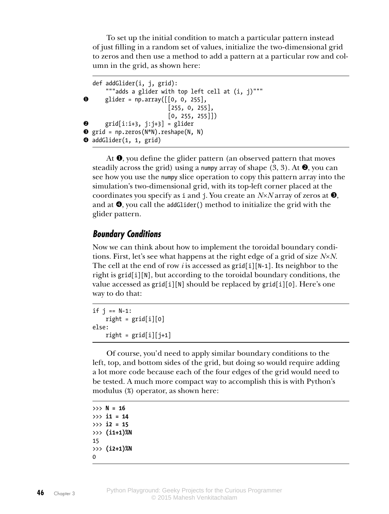To set up the initial condition to match a particular pattern instead of just filling in a random set of values, initialize the two-dimensional grid to zeros and then use a method to add a pattern at a particular row and column in the grid, as shown here:

```
def addGlider(i, j, grid):
        """adds a glider with top left cell at (i, j)"""
0 glider = np.array([(0, 0, 255], [255, 0, 255], 
                             [0, 255, 255]])
\bullet grid[i:i+3, j:j+3] = glider
\bullet grid = np.zeros(N*N).reshape(N, N)
\bullet addGlider(1, 1, grid)
```
At  $\bullet$ , you define the glider pattern (an observed pattern that moves steadily across the grid) using a numpy array of shape  $(3, 3)$ . At  $\bullet$ , you can see how you use the numpy slice operation to copy this pattern array into the simulation's two-dimensional grid, with its top-left corner placed at the coordinates you specify as i and j. You create an  $N \times N$  array of zeros at  $\bullet$ , and at  $\Theta$ , you call the addGlider() method to initialize the grid with the glider pattern.

#### *Boundary Conditions*

Now we can think about how to implement the toroidal boundary conditions. First, let's see what happens at the right edge of a grid of size *N*×*N*. The cell at the end of row *i* is accessed as grid[i][N-1]. Its neighbor to the right is grid[i][N], but according to the toroidal boundary conditions, the value accessed as grid[i][N] should be replaced by grid[i][0]. Here's one way to do that:

```
if j == N-1:
    right = grid[i][0]else:
    right = grid[i][j+1]
```
Of course, you'd need to apply similar boundary conditions to the left, top, and bottom sides of the grid, but doing so would require adding a lot more code because each of the four edges of the grid would need to be tested. A much more compact way to accomplish this is with Python's modulus (%) operator, as shown here:

```
>>> N = 16
>>> i1 = 14
>>> i2 = 15
>>> (i1+1)%N
15
>>> (i2+1)%N
\Omega
```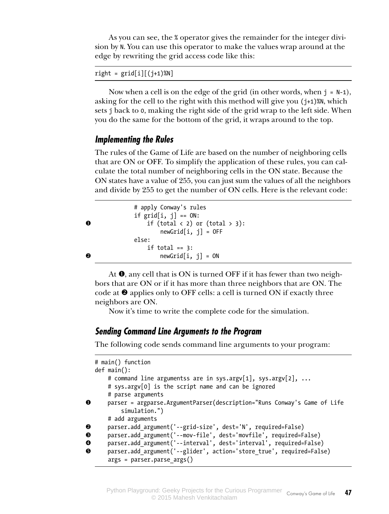As you can see, the % operator gives the remainder for the integer division by N. You can use this operator to make the values wrap around at the edge by rewriting the grid access code like this:

```
right = grid[i][(j+1)%N]
```
Now when a cell is on the edge of the grid (in other words, when  $j = N-1$ ), asking for the cell to the right with this method will give you  $(j+1)$ %N, which sets j back to 0, making the right side of the grid wrap to the left side. When you do the same for the bottom of the grid, it wraps around to the top.

#### *Implementing the Rules*

The rules of the Game of Life are based on the number of neighboring cells that are ON or OFF. To simplify the application of these rules, you can calculate the total number of neighboring cells in the ON state. Because the ON states have a value of 255, you can just sum the values of all the neighbors and divide by 255 to get the number of ON cells. Here is the relevant code:

```
 # apply Conway's rules
             if grid[i, j] == 0N:
\bullet if (total < 2) or (total > 3):
                    newGrid[i, j] = OFF else:
                if total == 3:
\bullet newGrid[i, j] = ON
```
At  $\bullet$ , any cell that is ON is turned OFF if it has fewer than two neighbors that are ON or if it has more than three neighbors that are ON. The code at  $\bullet$  applies only to OFF cells: a cell is turned ON if exactly three neighbors are ON.

Now it's time to write the complete code for the simulation.

#### *Sending Command Line Arguments to the Program*

The following code sends command line arguments to your program:

```
# main() function
  def main():
       # command line argumentss are in sys.argv[1], sys.argv[2], ...
       # sys.argv[0] is the script name and can be ignored
       # parse arguments
u parser = argparse.ArgumentParser(description="Runs Conway's Game of Life 
           simulation.")
       # add arguments
0 parser.add argument('--grid-size', dest='N', required=False)
w parser.add_argument('--mov-file', dest='movfile', required=False)
x parser.add_argument('--interval', dest='interval', required=False)
y parser.add_argument('--glider', action='store_true', required=False)
       args = parser.parse_args()
```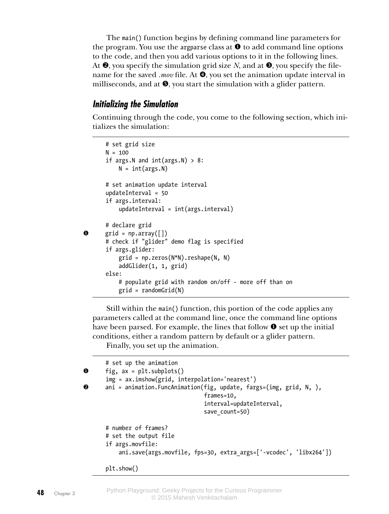The main() function begins by defining command line parameters for the program. You use the argparse class at  $\bullet$  to add command line options to the code, and then you add various options to it in the following lines. At  $\bullet$ , you specify the simulation grid size *N*, and at  $\bullet$ , you specify the filename for the saved *.mov* file. At  $\bullet$ , you set the animation update interval in milliseconds, and at  $\bullet$ , you start the simulation with a glider pattern.

#### *Initializing the Simulation*

Continuing through the code, you come to the following section, which initializes the simulation:

```
 # set grid size
      N = 100if args.N and int(args.N) > 8:
           N = int(args.N) # set animation update interval
        updateInterval = 50
        if args.interval:
            updateInterval = int(args.interval)
       # declare grid
\bullet grid = np.array([])
       # check if "glider" demo flag is specified
        if args.glider:
            grid = np.zeros(N*N).reshape(N, N)
            addGlider(1, 1, grid)
        else:
            # populate grid with random on/off - more off than on
            grid = randomGrid(N)
```
Still within the main() function, this portion of the code applies any parameters called at the command line, once the command line options have been parsed. For example, the lines that follow  $\bullet$  set up the initial conditions, either a random pattern by default or a glider pattern.

Finally, you set up the animation.

```
 # set up the animation
\bullet fig, ax = plt.subplots()
       img = ax.imshow(grid, interpolation='nearest')
0 ani = animation.FuncAnimation(fig, update, fargs=(img, grid, N, ),
                                       frames=10,
                                       interval=updateInterval,
                                      save count=50)
       # number of frames? 
       # set the output file
       if args.movfile:
            ani.save(args.movfile, fps=30, extra_args=['-vcodec', 'libx264'])
```

```
 plt.show()
```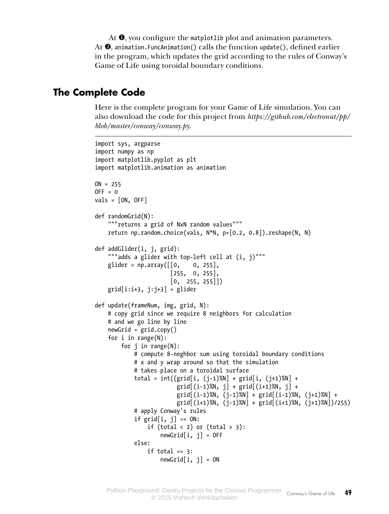At  $\bullet$ , you configure the matplotlib plot and animation parameters. At  $\Theta$ , animation. FuncAnimation() calls the function update(), defined earlier in the program, which updates the grid according to the rules of Conway's Game of Life using toroidal boundary conditions.

#### **The Complete Code**

Here is the complete program for your Game of Life simulation. You can also download the code for this project from *[https://github.com/electronut/pp/](https://github.com/electronut/pp/blob/master/conway/conway.py) [blob/master/conway/conway.py](https://github.com/electronut/pp/blob/master/conway/conway.py)*.

```
import sys, argparse
import numpy as np
import matplotlib.pyplot as plt 
import matplotlib.animation as animation
ON = 255
OFF = 0vals = [ON, OFF]
def randomGrid(N):
     """returns a grid of NxN random values"""
     return np.random.choice(vals, N*N, p=[0.2, 0.8]).reshape(N, N)
def addGlider(i, j, grid):
     """adds a glider with top-left cell at (i, j)"""
    glider = np.array([0, 0, 255], [255, 0, 255], 
                       [0, 255, 255]]grid[i:i+3, j:j+3] = gliderdef update(frameNum, img, grid, N):
     # copy grid since we require 8 neighbors for calculation
     # and we go line by line 
    newGrid = grid.copy() for i in range(N):
         for j in range(N):
             # compute 8-neghbor sum using toroidal boundary conditions
             # x and y wrap around so that the simulation
             # takes place on a toroidal surface
            total = int((grid[i, (j-1)%N] + grid[i, (j+1)%) +grid[(i-1)%N, j] + grid[(i+1)%N, j] + grid[(i-1)%N, (j-1)%N] + grid[(i-1)%N, (j+1)%N] + 
                          grid[(i+1)%N, (j-1)%N] + grid[(i+1)%N, (j+1)%N])/255)
             # apply Conway's rules
            if grid[i, j] == ON:
                if (total \langle 2 \rangle or (total > 3):
                    newGrid[i, j] = OFF else:
                if total == 3:
                    newGrid[i, j] = ON
```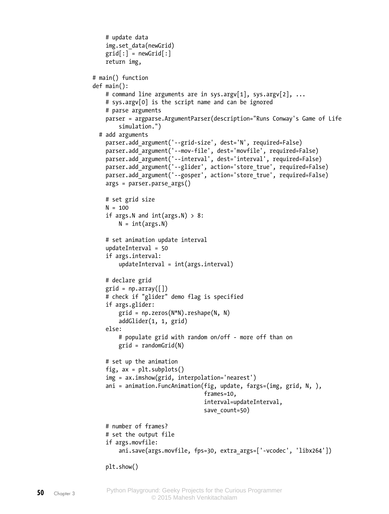```
 # update data
     img.set_data(newGrid)
    grid[:] = newGrid[:] return img,
# main() function
def main():
     # command line arguments are in sys.argv[1], sys.argv[2], ...
     # sys.argv[0] is the script name and can be ignored
     # parse arguments
     parser = argparse.ArgumentParser(description="Runs Conway's Game of Life 
         simulation.")
   # add arguments
    parser.add argument('--grid-size', dest='N', required=False)
     parser.add_argument('--mov-file', dest='movfile', required=False)
     parser.add_argument('--interval', dest='interval', required=False)
    parser.add argument('--glider', action='store true', required=False)
    parser.add argument('--gosper', action='store true', required=False)
     args = parser.parse_args()
     # set grid size
    N = 100if args.N and int(args.N) > 8:
        N = int(args.N) # set animation update interval
     updateInterval = 50
     if args.interval:
         updateInterval = int(args.interval)
     # declare grid
    grid = np.array([]) # check if "glider" demo flag is specified
     if args.glider:
         grid = np.zeros(N*N).reshape(N, N)
         addGlider(1, 1, grid)
     else:
         # populate grid with random on/off - more off than on
         grid = randomGrid(N)
     # set up the animation
     fig, ax = plt.subplots()
     img = ax.imshow(grid, interpolation='nearest')
     ani = animation.FuncAnimation(fig, update, fargs=(img, grid, N, ),
                                    frames=10,
                                    interval=updateInterval,
                                   save count=50)
     # number of frames? 
     # set the output file
     if args.movfile:
        ani.save(args.movfile, fps=30, extra args=['-vcodec', 'libx264'])
```

```
 plt.show()
```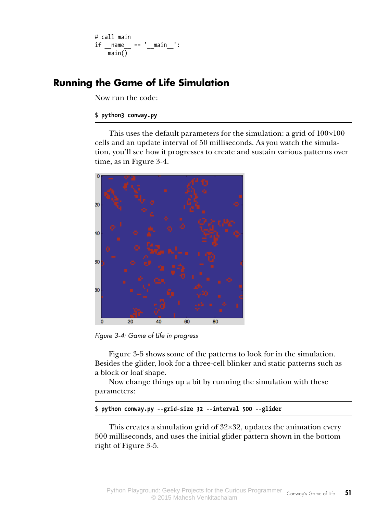```
# call main
if name == ' main ': main()
```
## **Running the Game of Life Simulation**

Now run the code:

#### \$ **python3 conway.py**

This uses the default parameters for the simulation: a grid of 100×100 cells and an update interval of 50 milliseconds. As you watch the simulation, you'll see how it progresses to create and sustain various patterns over time, as in Figure 3-4.



Figure 3-4: Game of Life in progress

Figure 3-5 shows some of the patterns to look for in the simulation. Besides the glider, look for a three-cell blinker and static patterns such as a block or loaf shape.

Now change things up a bit by running the simulation with these parameters:

\$ **python conway.py --grid-size 32 --interval 500 --glider**

This creates a simulation grid of 32×32, updates the animation every 500 milliseconds, and uses the initial glider pattern shown in the bottom right of Figure 3-5.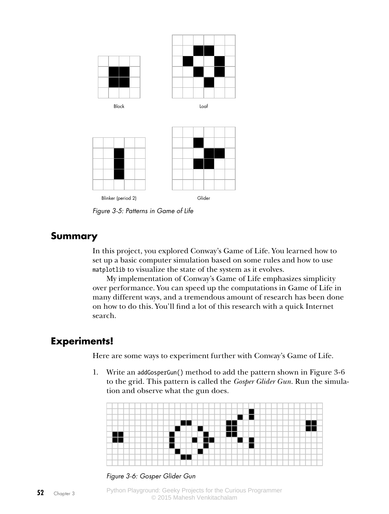

*Figure 3-5: Patterns in Game of Life*

### **Summary**

In this project, you explored Conway's Game of Life. You learned how to set up a basic computer simulation based on some rules and how to use matplotlib to visualize the state of the system as it evolves.

My implementation of Conway's Game of Life emphasizes simplicity over performance. You can speed up the computations in Game of Life in many different ways, and a tremendous amount of research has been done on how to do this. You'll find a lot of this research with a quick Internet search.

# **Experiments!**

Here are some ways to experiment further with Conway's Game of Life.

1. Write an addGosperGun() method to add the pattern shown in Figure 3-6 to the grid. This pattern is called the *Gosper Glider Gun*. Run the simulation and observe what the gun does.



*Figure 3-6: Gosper Glider Gun*